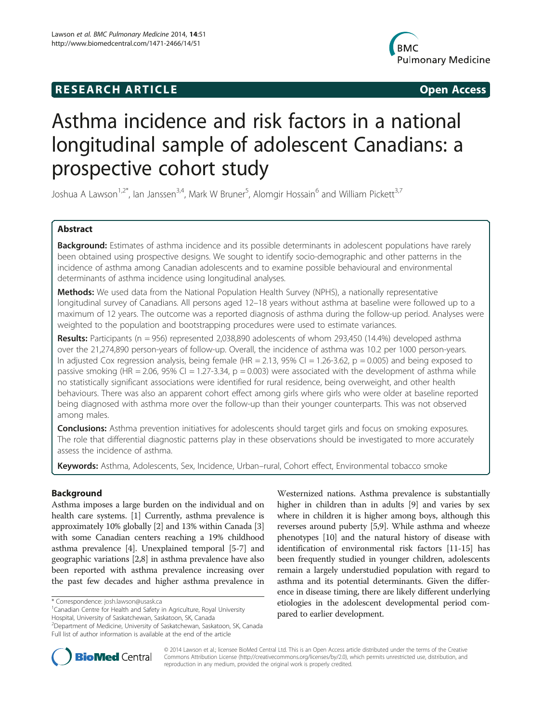# **RESEARCH ARTICLE Example 2014 12:30 The SEAR CHA RESEARCH ARTICLE**



# Asthma incidence and risk factors in a national longitudinal sample of adolescent Canadians: a prospective cohort study

Joshua A Lawson<sup>1,2\*</sup>, lan Janssen<sup>3,4</sup>, Mark W Bruner<sup>5</sup>, Alomgir Hossain<sup>6</sup> and William Pickett<sup>3,7</sup>

# Abstract

Background: Estimates of asthma incidence and its possible determinants in adolescent populations have rarely been obtained using prospective designs. We sought to identify socio-demographic and other patterns in the incidence of asthma among Canadian adolescents and to examine possible behavioural and environmental determinants of asthma incidence using longitudinal analyses.

Methods: We used data from the National Population Health Survey (NPHS), a nationally representative longitudinal survey of Canadians. All persons aged 12–18 years without asthma at baseline were followed up to a maximum of 12 years. The outcome was a reported diagnosis of asthma during the follow-up period. Analyses were weighted to the population and bootstrapping procedures were used to estimate variances.

Results: Participants (n = 956) represented 2,038,890 adolescents of whom 293,450 (14.4%) developed asthma over the 21,274,890 person-years of follow-up. Overall, the incidence of asthma was 10.2 per 1000 person-years. In adjusted Cox regression analysis, being female (HR = 2.13, 95% CI = 1.26-3.62,  $p = 0.005$ ) and being exposed to passive smoking (HR = 2.06, 95% CI = 1.27-3.34,  $p = 0.003$ ) were associated with the development of asthma while no statistically significant associations were identified for rural residence, being overweight, and other health behaviours. There was also an apparent cohort effect among girls where girls who were older at baseline reported being diagnosed with asthma more over the follow-up than their younger counterparts. This was not observed among males.

**Conclusions:** Asthma prevention initiatives for adolescents should target girls and focus on smoking exposures. The role that differential diagnostic patterns play in these observations should be investigated to more accurately assess the incidence of asthma.

Keywords: Asthma, Adolescents, Sex, Incidence, Urban-rural, Cohort effect, Environmental tobacco smoke

# **Background**

Asthma imposes a large burden on the individual and on health care systems. [\[1\]](#page-7-0) Currently, asthma prevalence is approximately 10% globally [[2\]](#page-8-0) and 13% within Canada [[3](#page-8-0)] with some Canadian centers reaching a 19% childhood asthma prevalence [[4\]](#page-8-0). Unexplained temporal [[5-7\]](#page-8-0) and geographic variations [\[2,8\]](#page-8-0) in asthma prevalence have also been reported with asthma prevalence increasing over the past few decades and higher asthma prevalence in

reverses around puberty [\[5,9\]](#page-8-0). While asthma and wheeze phenotypes [[10](#page-8-0)] and the natural history of disease with identification of environmental risk factors [\[11-15\]](#page-8-0) has been frequently studied in younger children, adolescents remain a largely understudied population with regard to asthma and its potential determinants. Given the difference in disease timing, there are likely different underlying etiologies in the adolescent developmental period compared to earlier development.

Westernized nations. Asthma prevalence is substantially higher in children than in adults [\[9\]](#page-8-0) and varies by sex where in children it is higher among boys, although this



© 2014 Lawson et al.; licensee BioMed Central Ltd. This is an Open Access article distributed under the terms of the Creative Commons Attribution License [\(http://creativecommons.org/licenses/by/2.0\)](http://creativecommons.org/licenses/by/2.0), which permits unrestricted use, distribution, and reproduction in any medium, provided the original work is properly credited.

<sup>\*</sup> Correspondence: [josh.lawson@usask.ca](mailto:josh.lawson@usask.ca) <sup>1</sup>

<sup>&</sup>lt;sup>1</sup> Canadian Centre for Health and Safety in Agriculture, Royal University Hospital, University of Saskatchewan, Saskatoon, SK, Canada

<sup>2</sup> Department of Medicine, University of Saskatchewan, Saskatoon, SK, Canada Full list of author information is available at the end of the article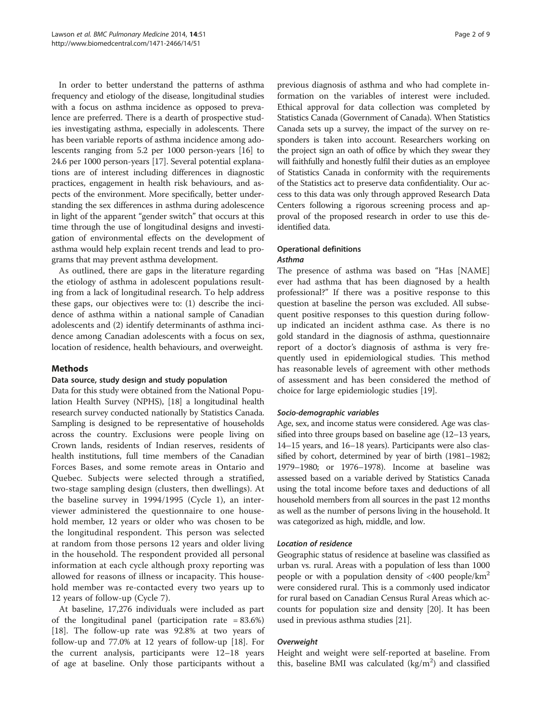In order to better understand the patterns of asthma frequency and etiology of the disease, longitudinal studies with a focus on asthma incidence as opposed to prevalence are preferred. There is a dearth of prospective studies investigating asthma, especially in adolescents. There has been variable reports of asthma incidence among adolescents ranging from 5.2 per 1000 person-years [\[16](#page-8-0)] to 24.6 per 1000 person-years [\[17\]](#page-8-0). Several potential explanations are of interest including differences in diagnostic practices, engagement in health risk behaviours, and aspects of the environment. More specifically, better understanding the sex differences in asthma during adolescence in light of the apparent "gender switch" that occurs at this time through the use of longitudinal designs and investigation of environmental effects on the development of asthma would help explain recent trends and lead to programs that may prevent asthma development.

As outlined, there are gaps in the literature regarding the etiology of asthma in adolescent populations resulting from a lack of longitudinal research. To help address these gaps, our objectives were to: (1) describe the incidence of asthma within a national sample of Canadian adolescents and (2) identify determinants of asthma incidence among Canadian adolescents with a focus on sex, location of residence, health behaviours, and overweight.

# Methods

# Data source, study design and study population

Data for this study were obtained from the National Population Health Survey (NPHS), [[18](#page-8-0)] a longitudinal health research survey conducted nationally by Statistics Canada. Sampling is designed to be representative of households across the country. Exclusions were people living on Crown lands, residents of Indian reserves, residents of health institutions, full time members of the Canadian Forces Bases, and some remote areas in Ontario and Quebec. Subjects were selected through a stratified, two-stage sampling design (clusters, then dwellings). At the baseline survey in 1994/1995 (Cycle 1), an interviewer administered the questionnaire to one household member, 12 years or older who was chosen to be the longitudinal respondent. This person was selected at random from those persons 12 years and older living in the household. The respondent provided all personal information at each cycle although proxy reporting was allowed for reasons of illness or incapacity. This household member was re-contacted every two years up to 12 years of follow-up (Cycle 7).

At baseline, 17,276 individuals were included as part of the longitudinal panel (participation rate  $= 83.6\%)$ [[18\]](#page-8-0). The follow-up rate was 92.8% at two years of follow-up and 77.0% at 12 years of follow-up [\[18](#page-8-0)]. For the current analysis, participants were 12–18 years of age at baseline. Only those participants without a

previous diagnosis of asthma and who had complete information on the variables of interest were included. Ethical approval for data collection was completed by Statistics Canada (Government of Canada). When Statistics Canada sets up a survey, the impact of the survey on responders is taken into account. Researchers working on the project sign an oath of office by which they swear they will faithfully and honestly fulfil their duties as an employee of Statistics Canada in conformity with the requirements of the Statistics act to preserve data confidentiality. Our access to this data was only through approved Research Data Centers following a rigorous screening process and approval of the proposed research in order to use this deidentified data.

#### Operational definitions Asthma

The presence of asthma was based on "Has [NAME] ever had asthma that has been diagnosed by a health professional?" If there was a positive response to this question at baseline the person was excluded. All subsequent positive responses to this question during followup indicated an incident asthma case. As there is no gold standard in the diagnosis of asthma, questionnaire report of a doctor's diagnosis of asthma is very frequently used in epidemiological studies. This method has reasonable levels of agreement with other methods of assessment and has been considered the method of choice for large epidemiologic studies [\[19](#page-8-0)].

# Socio-demographic variables

Age, sex, and income status were considered. Age was classified into three groups based on baseline age (12–13 years, 14–15 years, and 16–18 years). Participants were also classified by cohort, determined by year of birth (1981–1982; 1979–1980; or 1976–1978). Income at baseline was assessed based on a variable derived by Statistics Canada using the total income before taxes and deductions of all household members from all sources in the past 12 months as well as the number of persons living in the household. It was categorized as high, middle, and low.

# Location of residence

Geographic status of residence at baseline was classified as urban vs. rural. Areas with a population of less than 1000 people or with a population density of  $\langle 400 \rangle$  people/km<sup>2</sup> were considered rural. This is a commonly used indicator for rural based on Canadian Census Rural Areas which accounts for population size and density [\[20](#page-8-0)]. It has been used in previous asthma studies [[21](#page-8-0)].

# **Overweight**

Height and weight were self-reported at baseline. From this, baseline BMI was calculated  $(kg/m<sup>2</sup>)$  and classified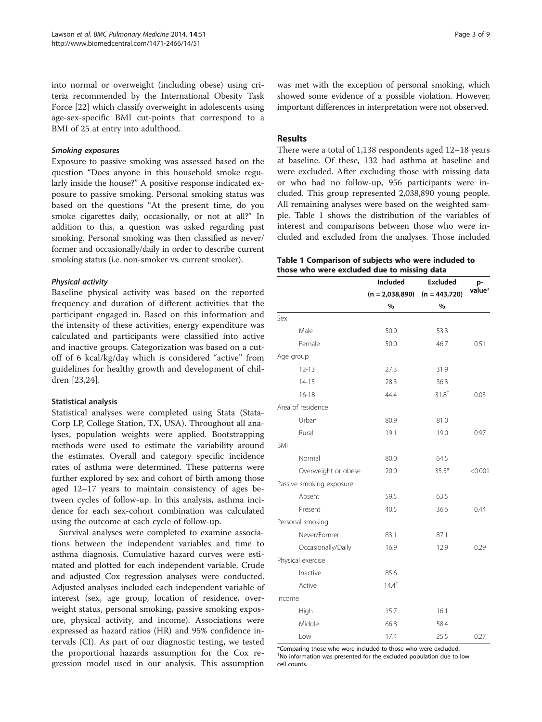into normal or overweight (including obese) using criteria recommended by the International Obesity Task Force [\[22](#page-8-0)] which classify overweight in adolescents using age-sex-specific BMI cut-points that correspond to a BMI of 25 at entry into adulthood.

#### Smoking exposures

Exposure to passive smoking was assessed based on the question "Does anyone in this household smoke regularly inside the house?" A positive response indicated exposure to passive smoking. Personal smoking status was based on the questions "At the present time, do you smoke cigarettes daily, occasionally, or not at all?" In addition to this, a question was asked regarding past smoking. Personal smoking was then classified as never/ former and occasionally/daily in order to describe current smoking status (i.e. non-smoker vs. current smoker).

#### Physical activity

Baseline physical activity was based on the reported frequency and duration of different activities that the participant engaged in. Based on this information and the intensity of these activities, energy expenditure was calculated and participants were classified into active and inactive groups. Categorization was based on a cutoff of 6 kcal/kg/day which is considered "active" from guidelines for healthy growth and development of children [[23,24](#page-8-0)].

#### Statistical analysis

Statistical analyses were completed using Stata (Stata-Corp LP, College Station, TX, USA). Throughout all analyses, population weights were applied. Bootstrapping methods were used to estimate the variability around the estimates. Overall and category specific incidence rates of asthma were determined. These patterns were further explored by sex and cohort of birth among those aged 12–17 years to maintain consistency of ages between cycles of follow-up. In this analysis, asthma incidence for each sex-cohort combination was calculated using the outcome at each cycle of follow-up.

Survival analyses were completed to examine associations between the independent variables and time to asthma diagnosis. Cumulative hazard curves were estimated and plotted for each independent variable. Crude and adjusted Cox regression analyses were conducted. Adjusted analyses included each independent variable of interest (sex, age group, location of residence, overweight status, personal smoking, passive smoking exposure, physical activity, and income). Associations were expressed as hazard ratios (HR) and 95% confidence intervals (CI). As part of our diagnostic testing, we tested the proportional hazards assumption for the Cox regression model used in our analysis. This assumption

was met with the exception of personal smoking, which showed some evidence of a possible violation. However, important differences in interpretation were not observed.

### Results

There were a total of 1,138 respondents aged 12–18 years at baseline. Of these, 132 had asthma at baseline and were excluded. After excluding those with missing data or who had no follow-up, 956 participants were included. This group represented 2,038,890 young people. All remaining analyses were based on the weighted sample. Table 1 shows the distribution of the variables of interest and comparisons between those who were included and excluded from the analyses. Those included

| Table 1 Comparison of subjects who were included to |  |
|-----------------------------------------------------|--|
| those who were excluded due to missing data         |  |

|                          | Included          | <b>Excluded</b>  | p-      |
|--------------------------|-------------------|------------------|---------|
|                          | $(n = 2,038,890)$ | $(n = 443, 720)$ | value*  |
|                          | %                 | %                |         |
| Sex                      |                   |                  |         |
| Male                     | 50.0              | 53.3             |         |
| Female                   | 50.0              | 46.7             | 0.51    |
| Age group                |                   |                  |         |
| $12 - 13$                | 27.3              | 31.9             |         |
| $14 - 15$                | 28.3              | 36.3             |         |
| $16 - 18$                | 44.4              | $31.8^{+}$       | 0.03    |
| Area of residence        |                   |                  |         |
| Urban                    | 80.9              | 81.0             |         |
| Rural                    | 19.1              | 19.0             | 0.97    |
| <b>BMI</b>               |                   |                  |         |
| Normal                   | 80.0              | 64.5             |         |
| Overweight or obese      | 20.0              | $35.5*$          | < 0.001 |
| Passive smoking exposure |                   |                  |         |
| Absent                   | 59.5              | 63.5             |         |
| Present                  | 40.5              | 36.6             | 0.44    |
| Personal smoking         |                   |                  |         |
| Never/Former             | 83.1              | 87.1             |         |
| Occasionally/Daily       | 16.9              | 12.9             | 0.29    |
| Physical exercise        |                   |                  |         |
| Inactive                 | 85.6              |                  |         |
| Active                   | $14.4^{\dagger}$  |                  |         |
| Income                   |                   |                  |         |
| High                     | 15.7              | 16.1             |         |
| Middle                   | 66.8              | 58.4             |         |
| Low                      | 17.4              | 25.5             | 0.27    |

\*Comparing those who were included to those who were excluded. † No information was presented for the excluded population due to low cell counts.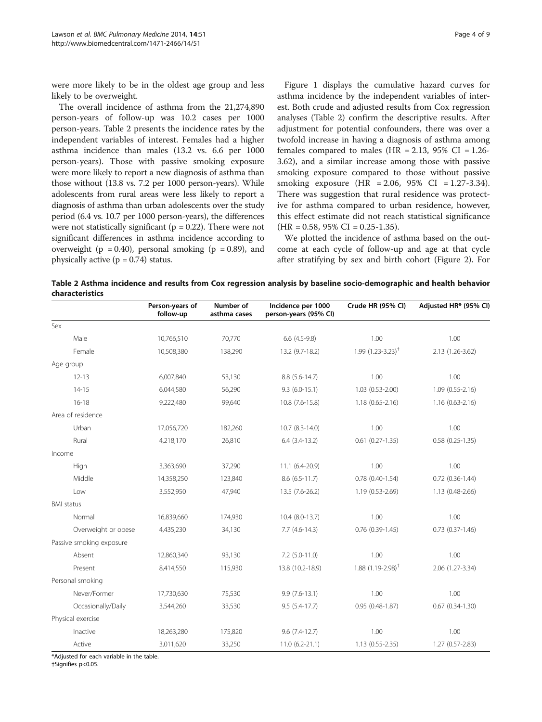were more likely to be in the oldest age group and less likely to be overweight.

The overall incidence of asthma from the 21,274,890 person-years of follow-up was 10.2 cases per 1000 person-years. Table 2 presents the incidence rates by the independent variables of interest. Females had a higher asthma incidence than males (13.2 vs. 6.6 per 1000 person-years). Those with passive smoking exposure were more likely to report a new diagnosis of asthma than those without (13.8 vs. 7.2 per 1000 person-years). While adolescents from rural areas were less likely to report a diagnosis of asthma than urban adolescents over the study period (6.4 vs. 10.7 per 1000 person-years), the differences were not statistically significant ( $p = 0.22$ ). There were not significant differences in asthma incidence according to overweight ( $p = 0.40$ ), personal smoking ( $p = 0.89$ ), and physically active  $(p = 0.74)$  status.

Figure [1](#page-4-0) displays the cumulative hazard curves for asthma incidence by the independent variables of interest. Both crude and adjusted results from Cox regression analyses (Table 2) confirm the descriptive results. After adjustment for potential confounders, there was over a twofold increase in having a diagnosis of asthma among females compared to males (HR = 2.13,  $95\%$  CI = 1.26-3.62), and a similar increase among those with passive smoking exposure compared to those without passive smoking exposure (HR = 2.06, 95% CI = 1.27-3.34). There was suggestion that rural residence was protective for asthma compared to urban residence, however, this effect estimate did not reach statistical significance  $(HR = 0.58, 95\% \text{ CI} = 0.25 - 1.35).$ 

We plotted the incidence of asthma based on the outcome at each cycle of follow-up and age at that cycle after stratifying by sex and birth cohort (Figure [2](#page-5-0)). For

Table 2 Asthma incidence and results from Cox regression analysis by baseline socio-demographic and health behavior characteristics

|                          | Person-years of<br>follow-up | Number of<br>asthma cases | Incidence per 1000<br>person-years (95% CI) | Crude HR (95% CI)               | Adjusted HR* (95% CI)  |
|--------------------------|------------------------------|---------------------------|---------------------------------------------|---------------------------------|------------------------|
| Sex                      |                              |                           |                                             |                                 |                        |
| Male                     | 10,766,510                   | 70,770                    | $6.6$ $(4.5-9.8)$                           | 1.00                            | 1.00                   |
| Female                   | 10,508,380                   | 138,290                   | 13.2 (9.7-18.2)                             | $1.99(1.23 - 3.23)^{\dagger}$   | 2.13 (1.26-3.62)       |
| Age group                |                              |                           |                                             |                                 |                        |
| $12 - 13$                | 6,007,840                    | 53,130                    | $8.8(5.6-14.7)$                             | 1.00                            | 1.00                   |
| $14 - 15$                | 6,044,580                    | 56,290                    | $9.3(6.0-15.1)$                             | $1.03(0.53 - 2.00)$             | $1.09(0.55 - 2.16)$    |
| $16 - 18$                | 9,222,480                    | 99,640                    | 10.8 (7.6-15.8)                             | $1.18(0.65 - 2.16)$             | $1.16(0.63 - 2.16)$    |
| Area of residence        |                              |                           |                                             |                                 |                        |
| Urban                    | 17,056,720                   | 182,260                   | 10.7 (8.3-14.0)                             | 1.00                            | 1.00                   |
| Rural                    | 4,218,170                    | 26,810                    | $6.4(3.4-13.2)$                             | $0.61(0.27-1.35)$               | $0.58$ $(0.25 - 1.35)$ |
| Income                   |                              |                           |                                             |                                 |                        |
| High                     | 3,363,690                    | 37,290                    | 11.1 (6.4-20.9)                             | 1.00                            | 1.00                   |
| Middle                   | 14,358,250                   | 123,840                   | $8.6(6.5-11.7)$                             | $0.78(0.40-1.54)$               | $0.72$ $(0.36 - 1.44)$ |
| Low                      | 3,552,950                    | 47,940                    | 13.5 (7.6-26.2)                             | 1.19 (0.53-2.69)                | 1.13 (0.48-2.66)       |
| <b>BMI</b> status        |                              |                           |                                             |                                 |                        |
| Normal                   | 16,839,660                   | 174,930                   | 10.4 (8.0-13.7)                             | 1.00                            | 1.00                   |
| Overweight or obese      | 4,435,230                    | 34,130                    | $7.7(4.6-14.3)$                             | $0.76(0.39-1.45)$               | $0.73(0.37-1.46)$      |
| Passive smoking exposure |                              |                           |                                             |                                 |                        |
| Absent                   | 12,860,340                   | 93,130                    | $7.2$ (5.0-11.0)                            | 1.00                            | 1.00                   |
| Present                  | 8,414,550                    | 115,930                   | 13.8 (10.2-18.9)                            | $1.88$ (1.19-2.98) <sup>†</sup> | 2.06 (1.27-3.34)       |
| Personal smoking         |                              |                           |                                             |                                 |                        |
| Never/Former             | 17,730,630                   | 75,530                    | $9.9(7.6-13.1)$                             | 1.00                            | 1.00                   |
| Occasionally/Daily       | 3,544,260                    | 33,530                    | $9.5(5.4-17.7)$                             | $0.95(0.48-1.87)$               | $0.67$ $(0.34-1.30)$   |
| Physical exercise        |                              |                           |                                             |                                 |                        |
| Inactive                 | 18,263,280                   | 175,820                   | $9.6(7.4-12.7)$                             | 1.00                            | 1.00                   |
| Active                   | 3,011,620                    | 33,250                    | $11.0(6.2-21.1)$                            | 1.13 (0.55-2.35)                | 1.27 (0.57-2.83)       |

\*Adjusted for each variable in the table.

†Signifies p<0.05.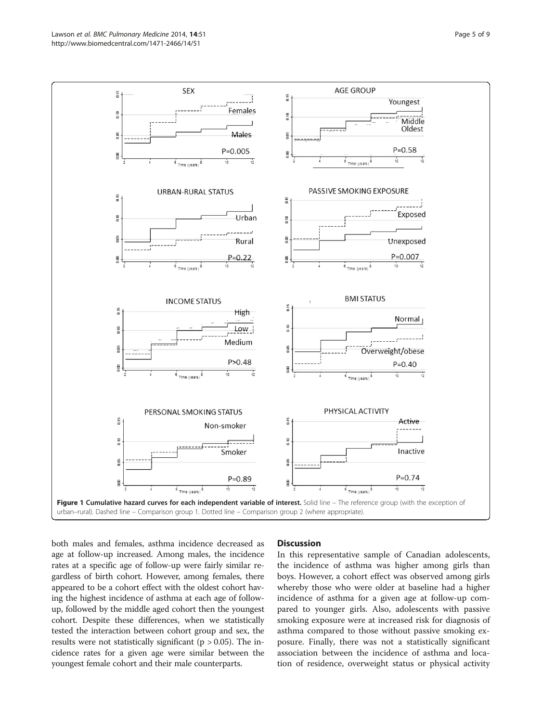<span id="page-4-0"></span>

both males and females, asthma incidence decreased as age at follow-up increased. Among males, the incidence rates at a specific age of follow-up were fairly similar regardless of birth cohort. However, among females, there appeared to be a cohort effect with the oldest cohort having the highest incidence of asthma at each age of followup, followed by the middle aged cohort then the youngest cohort. Despite these differences, when we statistically tested the interaction between cohort group and sex, the results were not statistically significant ( $p > 0.05$ ). The incidence rates for a given age were similar between the youngest female cohort and their male counterparts.

# **Discussion**

In this representative sample of Canadian adolescents, the incidence of asthma was higher among girls than boys. However, a cohort effect was observed among girls whereby those who were older at baseline had a higher incidence of asthma for a given age at follow-up compared to younger girls. Also, adolescents with passive smoking exposure were at increased risk for diagnosis of asthma compared to those without passive smoking exposure. Finally, there was not a statistically significant association between the incidence of asthma and location of residence, overweight status or physical activity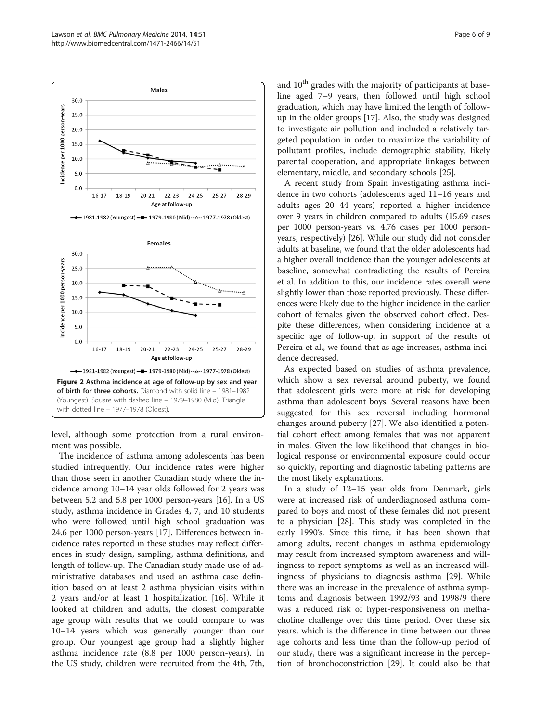<span id="page-5-0"></span>

level, although some protection from a rural environment was possible.

The incidence of asthma among adolescents has been studied infrequently. Our incidence rates were higher than those seen in another Canadian study where the incidence among 10–14 year olds followed for 2 years was between 5.2 and 5.8 per 1000 person-years [\[16](#page-8-0)]. In a US study, asthma incidence in Grades 4, 7, and 10 students who were followed until high school graduation was 24.6 per 1000 person-years [\[17](#page-8-0)]. Differences between incidence rates reported in these studies may reflect differences in study design, sampling, asthma definitions, and length of follow-up. The Canadian study made use of administrative databases and used an asthma case definition based on at least 2 asthma physician visits within 2 years and/or at least 1 hospitalization [[16\]](#page-8-0). While it looked at children and adults, the closest comparable age group with results that we could compare to was 10–14 years which was generally younger than our group. Our youngest age group had a slightly higher asthma incidence rate (8.8 per 1000 person-years). In the US study, children were recruited from the 4th, 7th,

and  $10<sup>th</sup>$  grades with the majority of participants at baseline aged 7–9 years, then followed until high school graduation, which may have limited the length of followup in the older groups [[17](#page-8-0)]. Also, the study was designed to investigate air pollution and included a relatively targeted population in order to maximize the variability of pollutant profiles, include demographic stability, likely parental cooperation, and appropriate linkages between elementary, middle, and secondary schools [\[25\]](#page-8-0).

A recent study from Spain investigating asthma incidence in two cohorts (adolescents aged 11–16 years and adults ages 20–44 years) reported a higher incidence over 9 years in children compared to adults (15.69 cases per 1000 person-years vs. 4.76 cases per 1000 personyears, respectively) [\[26\]](#page-8-0). While our study did not consider adults at baseline, we found that the older adolescents had a higher overall incidence than the younger adolescents at baseline, somewhat contradicting the results of Pereira et al. In addition to this, our incidence rates overall were slightly lower than those reported previously. These differences were likely due to the higher incidence in the earlier cohort of females given the observed cohort effect. Despite these differences, when considering incidence at a specific age of follow-up, in support of the results of Pereira et al., we found that as age increases, asthma incidence decreased.

As expected based on studies of asthma prevalence, which show a sex reversal around puberty, we found that adolescent girls were more at risk for developing asthma than adolescent boys. Several reasons have been suggested for this sex reversal including hormonal changes around puberty [\[27](#page-8-0)]. We also identified a potential cohort effect among females that was not apparent in males. Given the low likelihood that changes in biological response or environmental exposure could occur so quickly, reporting and diagnostic labeling patterns are the most likely explanations.

In a study of 12–15 year olds from Denmark, girls were at increased risk of underdiagnosed asthma compared to boys and most of these females did not present to a physician [[28\]](#page-8-0). This study was completed in the early 1990's. Since this time, it has been shown that among adults, recent changes in asthma epidemiology may result from increased symptom awareness and willingness to report symptoms as well as an increased willingness of physicians to diagnosis asthma [[29](#page-8-0)]. While there was an increase in the prevalence of asthma symptoms and diagnosis between 1992/93 and 1998/9 there was a reduced risk of hyper-responsiveness on methacholine challenge over this time period. Over these six years, which is the difference in time between our three age cohorts and less time than the follow-up period of our study, there was a significant increase in the perception of bronchoconstriction [\[29](#page-8-0)]. It could also be that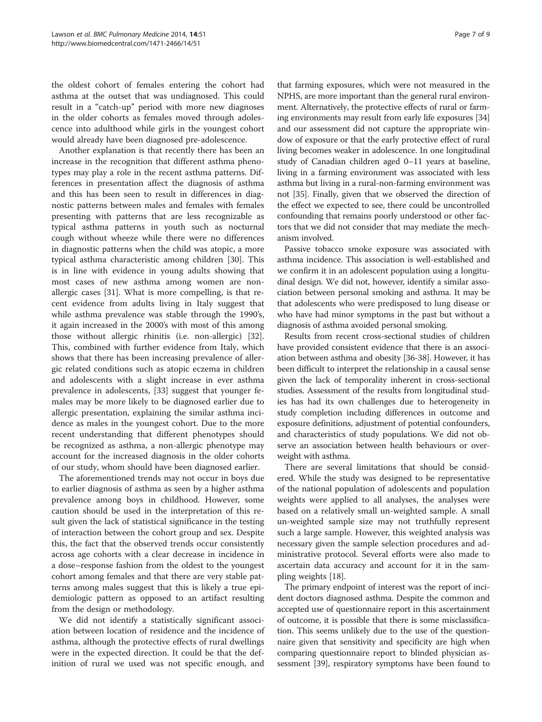the oldest cohort of females entering the cohort had asthma at the outset that was undiagnosed. This could result in a "catch-up" period with more new diagnoses in the older cohorts as females moved through adolescence into adulthood while girls in the youngest cohort would already have been diagnosed pre-adolescence.

Another explanation is that recently there has been an increase in the recognition that different asthma phenotypes may play a role in the recent asthma patterns. Differences in presentation affect the diagnosis of asthma and this has been seen to result in differences in diagnostic patterns between males and females with females presenting with patterns that are less recognizable as typical asthma patterns in youth such as nocturnal cough without wheeze while there were no differences in diagnostic patterns when the child was atopic, a more typical asthma characteristic among children [\[30\]](#page-8-0). This is in line with evidence in young adults showing that most cases of new asthma among women are nonallergic cases [\[31](#page-8-0)]. What is more compelling, is that recent evidence from adults living in Italy suggest that while asthma prevalence was stable through the 1990's, it again increased in the 2000's with most of this among those without allergic rhinitis (i.e. non-allergic) [\[32](#page-8-0)]. This, combined with further evidence from Italy, which shows that there has been increasing prevalence of allergic related conditions such as atopic eczema in children and adolescents with a slight increase in ever asthma prevalence in adolescents, [\[33\]](#page-8-0) suggest that younger females may be more likely to be diagnosed earlier due to allergic presentation, explaining the similar asthma incidence as males in the youngest cohort. Due to the more recent understanding that different phenotypes should be recognized as asthma, a non-allergic phenotype may account for the increased diagnosis in the older cohorts of our study, whom should have been diagnosed earlier.

The aforementioned trends may not occur in boys due to earlier diagnosis of asthma as seen by a higher asthma prevalence among boys in childhood. However, some caution should be used in the interpretation of this result given the lack of statistical significance in the testing of interaction between the cohort group and sex. Despite this, the fact that the observed trends occur consistently across age cohorts with a clear decrease in incidence in a dose–response fashion from the oldest to the youngest cohort among females and that there are very stable patterns among males suggest that this is likely a true epidemiologic pattern as opposed to an artifact resulting from the design or methodology.

We did not identify a statistically significant association between location of residence and the incidence of asthma, although the protective effects of rural dwellings were in the expected direction. It could be that the definition of rural we used was not specific enough, and

that farming exposures, which were not measured in the NPHS, are more important than the general rural environment. Alternatively, the protective effects of rural or farming environments may result from early life exposures [[34](#page-8-0)] and our assessment did not capture the appropriate window of exposure or that the early protective effect of rural living becomes weaker in adolescence. In one longitudinal study of Canadian children aged 0–11 years at baseline, living in a farming environment was associated with less asthma but living in a rural-non-farming environment was not [\[35\]](#page-8-0). Finally, given that we observed the direction of the effect we expected to see, there could be uncontrolled confounding that remains poorly understood or other factors that we did not consider that may mediate the mechanism involved.

Passive tobacco smoke exposure was associated with asthma incidence. This association is well-established and we confirm it in an adolescent population using a longitudinal design. We did not, however, identify a similar association between personal smoking and asthma. It may be that adolescents who were predisposed to lung disease or who have had minor symptoms in the past but without a diagnosis of asthma avoided personal smoking.

Results from recent cross-sectional studies of children have provided consistent evidence that there is an association between asthma and obesity [\[36-38\]](#page-8-0). However, it has been difficult to interpret the relationship in a causal sense given the lack of temporality inherent in cross-sectional studies. Assessment of the results from longitudinal studies has had its own challenges due to heterogeneity in study completion including differences in outcome and exposure definitions, adjustment of potential confounders, and characteristics of study populations. We did not observe an association between health behaviours or overweight with asthma.

There are several limitations that should be considered. While the study was designed to be representative of the national population of adolescents and population weights were applied to all analyses, the analyses were based on a relatively small un-weighted sample. A small un-weighted sample size may not truthfully represent such a large sample. However, this weighted analysis was necessary given the sample selection procedures and administrative protocol. Several efforts were also made to ascertain data accuracy and account for it in the sampling weights [\[18\]](#page-8-0).

The primary endpoint of interest was the report of incident doctors diagnosed asthma. Despite the common and accepted use of questionnaire report in this ascertainment of outcome, it is possible that there is some misclassification. This seems unlikely due to the use of the questionnaire given that sensitivity and specificity are high when comparing questionnaire report to blinded physician assessment [[39](#page-8-0)], respiratory symptoms have been found to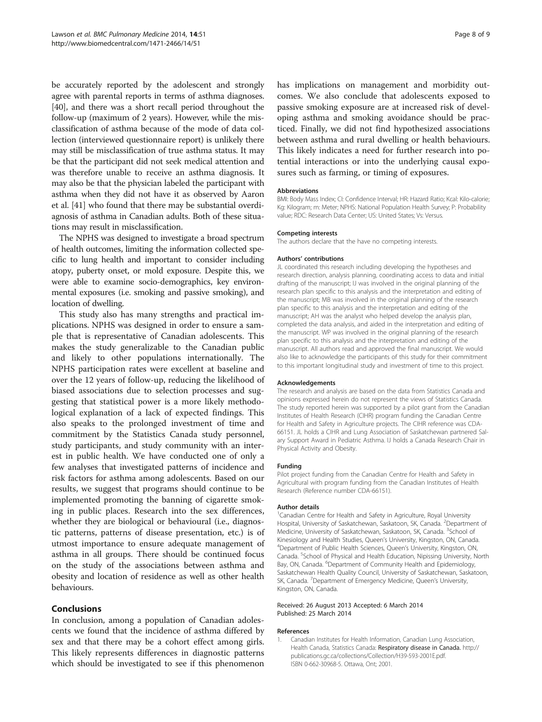<span id="page-7-0"></span>be accurately reported by the adolescent and strongly agree with parental reports in terms of asthma diagnoses. [[40](#page-8-0)], and there was a short recall period throughout the follow-up (maximum of 2 years). However, while the misclassification of asthma because of the mode of data collection (interviewed questionnaire report) is unlikely there may still be misclassification of true asthma status. It may be that the participant did not seek medical attention and was therefore unable to receive an asthma diagnosis. It may also be that the physician labeled the participant with asthma when they did not have it as observed by Aaron et al. [[41](#page-8-0)] who found that there may be substantial overdiagnosis of asthma in Canadian adults. Both of these situations may result in misclassification.

The NPHS was designed to investigate a broad spectrum of health outcomes, limiting the information collected specific to lung health and important to consider including atopy, puberty onset, or mold exposure. Despite this, we were able to examine socio-demographics, key environmental exposures (i.e. smoking and passive smoking), and location of dwelling.

This study also has many strengths and practical implications. NPHS was designed in order to ensure a sample that is representative of Canadian adolescents. This makes the study generalizable to the Canadian public and likely to other populations internationally. The NPHS participation rates were excellent at baseline and over the 12 years of follow-up, reducing the likelihood of biased associations due to selection processes and suggesting that statistical power is a more likely methodological explanation of a lack of expected findings. This also speaks to the prolonged investment of time and commitment by the Statistics Canada study personnel, study participants, and study community with an interest in public health. We have conducted one of only a few analyses that investigated patterns of incidence and risk factors for asthma among adolescents. Based on our results, we suggest that programs should continue to be implemented promoting the banning of cigarette smoking in public places. Research into the sex differences, whether they are biological or behavioural (i.e., diagnostic patterns, patterns of disease presentation, etc.) is of utmost importance to ensure adequate management of asthma in all groups. There should be continued focus on the study of the associations between asthma and obesity and location of residence as well as other health behaviours.

# Conclusions

In conclusion, among a population of Canadian adolescents we found that the incidence of asthma differed by sex and that there may be a cohort effect among girls. This likely represents differences in diagnostic patterns which should be investigated to see if this phenomenon has implications on management and morbidity outcomes. We also conclude that adolescents exposed to passive smoking exposure are at increased risk of developing asthma and smoking avoidance should be practiced. Finally, we did not find hypothesized associations between asthma and rural dwelling or health behaviours. This likely indicates a need for further research into potential interactions or into the underlying causal exposures such as farming, or timing of exposures.

#### Abbreviations

BMI: Body Mass Index; CI: Confidence Interval; HR: Hazard Ratio; Kcal: Kilo-calorie; Kg: Kilogram; m: Meter; NPHS: National Population Health Survey; P: Probability value; RDC: Research Data Center; US: United States; Vs: Versus.

#### Competing interests

The authors declare that the have no competing interests.

#### Authors' contributions

JL coordinated this research including developing the hypotheses and research direction, analysis planning, coordinating access to data and initial drafting of the manuscript; IJ was involved in the original planning of the research plan specific to this analysis and the interpretation and editing of the manuscript; MB was involved in the original planning of the research plan specific to this analysis and the interpretation and editing of the manuscript; AH was the analyst who helped develop the analysis plan, completed the data analysis, and aided in the interpretation and editing of the manuscript. WP was involved in the original planning of the research plan specific to this analysis and the interpretation and editing of the manuscript. All authors read and approved the final manuscript. We would also like to acknowledge the participants of this study for their commitment to this important longitudinal study and investment of time to this project.

#### Acknowledgements

The research and analysis are based on the data from Statistics Canada and opinions expressed herein do not represent the views of Statistics Canada. The study reported herein was supported by a pilot grant from the Canadian Institutes of Health Research (CIHR) program funding the Canadian Centre for Health and Safety in Agriculture projects. The CIHR reference was CDA-66151. JL holds a CIHR and Lung Association of Saskatchewan partnered Salary Support Award in Pediatric Asthma. IJ holds a Canada Research Chair in Physical Activity and Obesity.

#### Funding

Pilot project funding from the Canadian Centre for Health and Safety in Agricultural with program funding from the Canadian Institutes of Health Research (Reference number CDA-66151).

#### Author details

<sup>1</sup> Canadian Centre for Health and Safety in Agriculture, Royal University Hospital, University of Saskatchewan, Saskatoon, SK, Canada. <sup>2</sup>Department of Medicine, University of Saskatchewan, Saskatoon, SK, Canada. <sup>3</sup>School of Kinesiology and Health Studies, Queen's University, Kingston, ON, Canada. <sup>4</sup> Department of Public Health Sciences, Queen's University, Kingston, ON, Canada. <sup>5</sup>School of Physical and Health Education, Nipissing University, North Bay, ON, Canada. <sup>6</sup>Department of Community Health and Epidemiology Saskatchewan Health Quality Council, University of Saskatchewan, Saskatoon, SK, Canada. <sup>7</sup>Department of Emergency Medicine, Queen's University Kingston, ON, Canada.

#### Received: 26 August 2013 Accepted: 6 March 2014 Published: 25 March 2014

#### References

1. Canadian Institutes for Health Information, Canadian Lung Association, Health Canada, Statistics Canada: Respiratory disease in Canada. [http://](http://publications.gc.ca/collections/Collection/H39-593-2001E.pdf) [publications.gc.ca/collections/Collection/H39-593-2001E.pdf](http://publications.gc.ca/collections/Collection/H39-593-2001E.pdf). ISBN 0-662-30968-5. Ottawa, Ont; 2001.